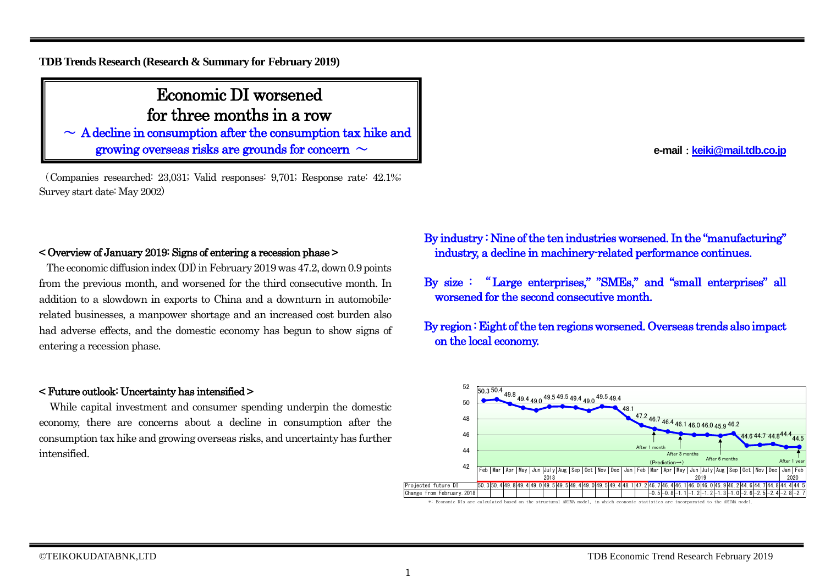## **TDB Trends Research (Research & Summary for February 2019)**

# Economic DI worsened for three months in a row

 $\sim A$  decline in consumption after the consumption tax hike and growing overseas risks are grounds for concern  $\sim$ 

(Companies researched: 23,031; Valid responses: 9,701; Response rate: 42.1%; Survey start date: May 2002) Ϊ

## < Overview of January 2019: Signs of entering a recession phase >

The economic diffusion index (DI) in February 2019 was 47.2, down 0.9 points from the previous month, and worsened for the third consecutive month. In addition to a slowdown in exports to China and a downturn in automobilerelated businesses, a manpower shortage and an increased cost burden also had adverse effects, and the domestic economy has begun to show signs of entering a recession phase.

### < Future outlook: Uncertainty has intensified >

While capital investment and consumer spending underpin the domestic economy, there are concerns about a decline in consumption after the consumption tax hike and growing overseas risks, and uncertainty has further intensified.

- By industry : Nine of the ten industries worsened. In the "manufacturing" industry, a decline in machinery-related performance continues.
- By size : "Large enterprises," "SMEs," and "small enterprises" all worsened for the second consecutive month.

By region : Eight of the ten regions worsened. Overseas trends also impact on the local economy.



\*: Economic DIs are calculated based on the structural ARIMA model, in which economic statistics are incorporated to the ARIMA model.

**e-mail**:**[keiki@mail.tdb.co.jp](mailto:keiki@mail.tdb.co.jp)**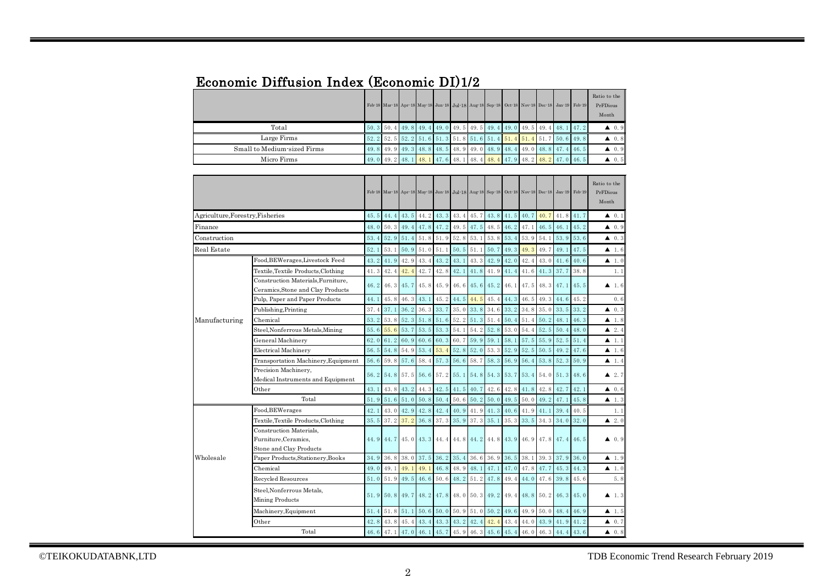# Economic Diffusion Index (Economic DI)1/2

|                             |  |  |  |  |  |  | Feb 18 Mar 18 Apr 18 May 18 Jun 18 Jul 18 Aug 18 Sep 18 Oct 18 Nov 18 Dec 18 Jan 19 Feb 19 | Ratio to the<br>PrFDious<br>Month |
|-----------------------------|--|--|--|--|--|--|--------------------------------------------------------------------------------------------|-----------------------------------|
| Total                       |  |  |  |  |  |  | 50, 3 50, 4 49, 8 49, 4 49, 0 49, 5 49, 5 49, 4 49, 0 49, 5 49, 4 48, 1 47, 2              | $\triangle$ 0.9                   |
| Large Firms                 |  |  |  |  |  |  | 52. 2 52. 5 52. 2 51. 6 51. 3 51. 8 51. 6 51. 4 51. 4 51. 4 51. 7 50. 6 49. 8              | $\blacktriangle$ 0.8              |
| Small to Medium-sized Firms |  |  |  |  |  |  | 49.8 49.9 49.3 48.8 48.5 48.9 49.0 48.9 48.4 49.0 48.8 47.4 46.5                           | $\triangle$ 0.9                   |
| Micro Firms                 |  |  |  |  |  |  | 49. 0 49. 2 48. 1 48. 1 47. 6 48. 1 48. 4 48. 4 47. 9 48. 2 48. 2 47. 0 46. 5              | $\blacktriangle$ 0.5              |

|                                  |                                                                            |      |                               |                |           |      |           | Feb 18 Mar 18 Apr 18 May 18 Jun 18 Jul 18 Aug 18 Sep 18 Oct 18 Nov 18 Dec 18 Jan 19 Feb 19 |                |             |             |                |                          |      | Ratio to the<br>PrFDious<br>Month |
|----------------------------------|----------------------------------------------------------------------------|------|-------------------------------|----------------|-----------|------|-----------|--------------------------------------------------------------------------------------------|----------------|-------------|-------------|----------------|--------------------------|------|-----------------------------------|
| Agriculture, Forestry, Fisheries |                                                                            | 45.5 | 44.4                          | 43.5 44.2 43.3 |           |      | 43.4 45.7 |                                                                                            | 43.8           | 41.5 40.7   |             | 40.7           | 41.8                     | 41.7 | $\blacktriangle$ 0.1              |
| Finance                          |                                                                            | 48.0 |                               |                |           |      |           | 50. 3 49. 4 47. 8 47. 2 49. 5 47. 5 48. 5                                                  |                | $46.2$ 47.1 |             | 46.5           | 46.1                     | 45.2 | $\blacktriangle$ 0.9              |
| Construction                     |                                                                            | 53.4 | 52.9                          | 51.4           | 51.8      | 51.9 | 52.8      | 53.1                                                                                       | 53.8           | 53.4        | 53.9        | 54.1           | 53.9                     | 53.6 | $\blacktriangle$ 0.3              |
| Real Estate<br>52.1              |                                                                            |      | 53.1                          | 50.9           | 51.0      | 51.1 | 50.5      | 51.1                                                                                       | 50.7           | 49.3        | 49.3        | 49.7           | 49.1                     | 47.5 | $\blacktriangle$ 1.6              |
|                                  | Food, BEWerages, Livestock Feed                                            | 43.2 | 41.9                          | 42.9           | 43.4      | 43.2 | 43.1      | 43.3                                                                                       | 42.9           | 42.0        | 42.4        | 43.0           | 41.6                     | 40.6 | $\blacktriangle$ 1.0              |
|                                  | Textile, Textile Products, Clothing                                        | 41.3 | 42.4                          | 42.4           | 42.7      | 42.8 | 42.1      | 41.8                                                                                       | 41.9           | 41.4        | 41.6        | 41.3           | 37.7                     | 38.8 | 1.1                               |
|                                  | Construction Materials.Furniture.<br>Ceramics, Stone and Clay Products     | 46.2 | 46.3 45.7                     |                | 45.8      | 45.9 |           | $46.6$ 45.6                                                                                | 45.2           | 46.1        |             | $47.5$ 48.3    | 47.1 45.5                |      | $\blacktriangle$ 1.6              |
|                                  | Pulp, Paper and Paper Products                                             | 44.1 | 45.8                          | 46.3           | 43.1      | 45.2 | 44.5      | 44.5                                                                                       | 45.4           | 44.3        | 46.5        | 49.3           | 44.6                     | 45.2 | 0.6                               |
|                                  | Publishing, Printing                                                       | 37.4 | 37.1                          | 36.2           | 36.3      | 33.7 | 35.0      | 33.8                                                                                       | 34.6           | 33.2        | 34.8        | 35.0           | 33.5                     | 33.2 | 40.3                              |
| Manufacturing                    | Chemical                                                                   | 53.2 |                               | 53.8 52.3      | 51.8      | 51.6 | 52.2      | 51.3                                                                                       | 51.4           | 50.4        | 51.4        | 50.2           | 48.1                     | 46.3 | $\blacktriangle$ 1.8              |
|                                  | Steel, Nonferrous Metals, Mining                                           | 55.6 | 55.6                          | 53.7           | 53.5      | 53.3 | 54.1      | 54.2                                                                                       | 52.8           | 53.0        | 54.4        | 52.5           | 50.4                     | 48.0 | $\blacktriangle$ 2.4              |
|                                  | General Machinerv                                                          | 62.0 | 61.2                          | 60.9           | 60.6      | 60.3 | 60.7      | 59.9                                                                                       | 59.1           | 58.1        | 57.5        | 55.9           | 52.5                     | 51.4 | $\blacktriangle$ 1.1              |
|                                  | <b>Electrical Machinery</b>                                                | 56.5 | 54.8                          | 54.9           | 53.4      | 53.4 | 52.8      | 52.0                                                                                       | 53.3           | 52.9        | 52.5        | 50.5           | 49.2                     | 47.6 | $\blacktriangle$ 1.6              |
|                                  | Transportation Machinery, Equipment                                        | 56.6 | 59.8                          | 57.6           | 58.4      | 57.3 | 56.6      | 58.7                                                                                       | 58.3           | 56.9        | 56.4        | 53.8           | 52.3                     | 50.9 | 4 1.4                             |
|                                  | Precision Machinery,<br>Medical Instruments and Equipment                  |      | 56. 2 54. 8 57. 5 56. 6 57. 2 |                |           |      | 55.1      |                                                                                            | 54.8 54.3 53.7 |             |             | 53.4 54.0      | 51.3 48.6                |      | $\blacktriangle$ 2.7              |
|                                  | Other                                                                      | 43.1 | 43.8                          | 43.2           | 44.3      | 42.5 | 41.5      | 40.7                                                                                       | 42.6           | 42.8        | 41.8        | 42.8           | 42.7                     | 42.1 | $\blacktriangle$ 0.6              |
|                                  | Total                                                                      | 51.9 | 51.6 51.0 50.8                |                |           | 50.4 |           | $50.6$ $50.2$ $50.0$                                                                       |                | 49.5        | $50.0$ 49.2 |                | 47.1                     | 45.8 | $\blacktriangle$ 1.3              |
|                                  | Food, BEWerages                                                            | 42.1 | 43.0                          | 42.9 42.8      |           |      |           | 42.4 40.9 41.9 41.3                                                                        |                | $40.6$ 41.9 |             | 41.1           | 39.4                     | 40.5 | 1.1                               |
|                                  | Textile, Textile Products, Clothing                                        | 35.5 | 37.2                          | 37.2           | 36.8      | 37.3 | 35.9      | 37.3                                                                                       | 35.1           | 35.3        | 33.5        | 34.3           | 34.0                     | 32.0 | $\blacktriangle$ 2.0              |
|                                  | Construction Materials.<br>Furniture, Ceramics,<br>Stone and Clay Products |      |                               |                |           |      |           | 44. 9 44. 7 45. 0 43. 3 44. 4 44. 8 44. 2 44. 8 43. 9 46. 9 47. 8 47. 4 46. 5              |                |             |             |                |                          |      | $\blacktriangle$ 0.9              |
| Wholesale                        | Paper Products, Stationery, Books                                          | 34.9 | 36.8                          | 38.0           | 37.5      | 36.2 | 35.4      | 36.6                                                                                       | 36.9           | 36.5        | 38.1        | 39.3           | 37.9                     | 36.0 | $\blacktriangle$ 1.9              |
|                                  | Chemical                                                                   | 49.0 | 49.1                          | 49.1           | 49.1      | 46.8 | 48.9      | 48.1                                                                                       | 47.1           | 47.0        | 47.8        | 47.7           | 45.3                     | 44.3 | $\blacktriangle$ 1.0              |
|                                  | Recycled Resources                                                         | 51.0 | 51.9                          | 49.5           | 46.6      | 50.6 | 48.2      | 51.2                                                                                       | 47.8           | 49.4        | 44.0        | 47.6           | 39.8                     | 45.6 | 5.8                               |
|                                  | Steel.Nonferrous Metals.<br>Mining Products                                | 51.9 | 50.8 49.7                     |                | 48.2 47.8 |      |           | 48.0 50.3 49.2 49.4                                                                        |                |             |             |                | $48.8$ 50. 2 46. 3 45. 0 |      | $\blacktriangle$ 1.3              |
|                                  | Machinery, Equipment                                                       | 51.4 | 51.8                          | 51.1           | 50.6      | 50.0 | 50.9      | 51.0                                                                                       | 50.2           | 49.6        | 49.9        | 50.0           | 48.4                     | 46.9 | $\blacktriangle$ 1.5              |
|                                  | Other                                                                      | 42.8 | 43.8                          | 45.4           | 43.4      |      |           | 43. 3 43. 2 42. 4 42. 4                                                                    |                | 43.4        | 44.0        |                | 43.9 41.9 41.2           |      | $\blacktriangle$ 0.7              |
|                                  | Total                                                                      |      | 46.6 47.1 47.0 46.1 45.7      |                |           |      |           | 45.9 46.3 45.6 45.4                                                                        |                |             |             | 46.0 46.3 44.4 |                          | 43.6 | $\blacktriangle$ 0.8              |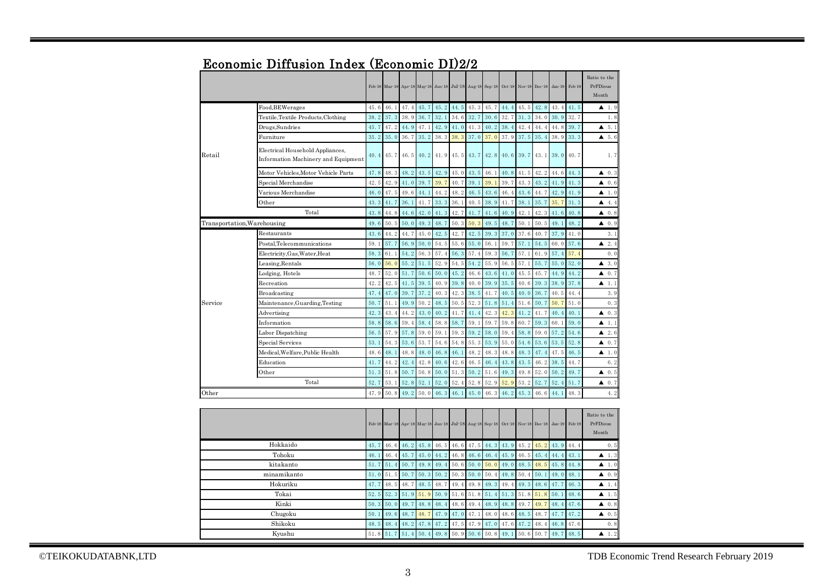|          |                                                                         |      | Feb 18 Mar 18 Apr 18 May 18 Jun 18 Jul 18 Aug 18 Sep 18 |      |      |      |                |      |      |      | Oct 18 Nov 18 Dec 18 |      |          | Jan-19 Feb-19 | Ratio to the<br>PrFDious<br>Month |
|----------|-------------------------------------------------------------------------|------|---------------------------------------------------------|------|------|------|----------------|------|------|------|----------------------|------|----------|---------------|-----------------------------------|
|          | Food, BEWerages                                                         | 45.6 | 46.1                                                    | 47.4 | 45.7 | 45.2 | 44.5           | 45.3 | 45.7 | 44.4 | 45.5                 | 42.8 | 43.4     | 41.5          | $\blacktriangle$ 1.9              |
|          | Textile, Textile Products, Clothing                                     | 38.2 | 37.3                                                    | 38.9 | 36.7 | 32.1 | 34.6           | 32.7 | 30.6 | 32.7 | 31.3                 | 34.0 | 30.9     | 32.7          | 1.8                               |
|          | Drugs, Sundries                                                         | 45.7 | 47.2                                                    | 44.9 | 47.1 | 42.9 | 41.0           | 41.3 | 40.2 | 38.4 | 42.4                 | 44.4 | 44.8     | 39.7          | 5.1<br>▲                          |
|          | Furniture                                                               | 35.2 | 35.0                                                    | 36.7 | 35.2 | 38.3 | 38.3           | 37.0 | 37.0 | 37.9 | 37.5                 | 35.4 | 38.9     | 33.3          | 5.6<br>▲                          |
| Retail   | Electrical Household Appliances,<br>Information Machinery and Equipment | 40.4 | 45.7                                                    | 46.5 | 40.2 | 41.9 | $45.5$ 43.7    |      | 42.8 | 40.6 | 39.7                 | 43.1 | 39.0     | 40.7          | 1.7                               |
|          | Motor Vehicles, Motor Vehicle Parts                                     | 47.8 | 48.3                                                    | 48.2 | 43.5 | 42.9 | 45.0           | 43.5 | 46.1 | 40.8 | 41.5                 | 42.2 | 44.6     | 44.3          | 0.3<br>▲                          |
|          | Special Merchandise                                                     | 42.5 | 42.9                                                    | 41.0 | 39.7 | 39.7 | 40.7           | 39.1 | 39.1 | 39.7 | 43.3                 | 43.2 | 41.9     | 41.3          | 0.6<br>▲                          |
|          | Various Merchandise                                                     | 46.0 | 47.5                                                    | 49.6 | 44.1 | 44.2 | 48.2           | 46.5 | 43.6 | 46.4 | 43.6                 | 44.7 | 42.9     | 41.9          | $\blacktriangle$ 1.0              |
|          | Other                                                                   | 43.3 | 41.7                                                    | 36.1 | 41.7 | 33.3 | 36.1           | 40.5 | 38.9 | 41.7 | 38.1                 | 35.7 | 35.7     | 31.3          | 4.4<br>▲                          |
|          | Total                                                                   | 43.8 | 44.8                                                    | 44.6 | 42.0 | 41.3 | 42.7           | 41.7 | 41.6 | 40.9 | 42.1                 | 42.3 | 41.6     | 40.8          | 0.8<br>▲                          |
|          | Transportation, Warehousing                                             | 49.6 | 50.5                                                    | 50.0 | 49.3 | 48.7 | 50.3           | 50.3 | 49.5 | 48.7 | 50.1                 | 50.5 | 49.1     | 48.2          | $\blacktriangle$ 0.9              |
|          | Restaurants                                                             | 43.6 | 44.2                                                    | 44.7 | 45.0 | 42.5 | 42.7           | 42.5 | 39.3 | 37.0 | 37.6                 | 40.7 | 37.9     | 41.0          | 3.1                               |
|          | Postal,Telecommunications                                               | 59.1 | 57.7                                                    | 56.9 | 50.0 | 54.5 | 55.6           | 55.0 | 56.1 | 59.7 | 57.1                 | 54.5 | 60.0     | 57.6          | 2.4<br>▲                          |
|          | Electricity, Gas, Water, Heat                                           | 58.3 | 61.1                                                    | 54.2 | 56.3 | 57.4 | 56.3           | 57.4 | 59.3 | 56.7 | 57.1                 | 61.9 | 57.4     | 57.4          | 0.0                               |
|          | Leasing,Rentals                                                         | 56.0 | 56.0                                                    | 55.2 | 51.5 | 52.9 | 54.5           | 54.2 | 55.9 | 56.5 | 57.1                 | 55.7 | 55.0     | 52.0          | 3.0<br>▲                          |
|          | Lodging, Hotels                                                         | 48.7 | 52.0                                                    | 51.7 | 50.6 | 50.0 | 45.2           | 46.6 | 43.6 | 41.0 | 45.5                 | 45.7 | 44.9     | 44.2          | 0.7<br>▲                          |
|          | Recreation                                                              | 42.2 | 42.5                                                    | 41.5 | 39.5 | 40.9 | 39.8           | 40.0 | 39.9 | 35.5 | 40.6                 | 39.3 | 38.9     | 37.8          | ▲<br>1.1                          |
|          | Broadcasting                                                            | 47.4 | 47.0                                                    | 39.7 | 37.2 | 40.3 | 42.3           | 38.5 | 41.7 | 40.5 | 40.0                 | 36.7 | 40.5     | 44.4          | 3.9                               |
| Service  | Maintenance, Guarding, Testing                                          | 50.7 | 51.1                                                    | 49.9 | 50.2 | 48.5 | 50.5           | 52.3 | 51.8 | 51.4 | 51.6                 | 50.7 | 50.7     | 51.0          | 0.3                               |
|          | Advertising                                                             | 42.3 | 43.4                                                    | 44.2 | 43.0 | 40.2 | 41.7           | 41.4 | 42.3 | 42.3 | 41.2                 | 41.7 | 40.4     | 40.1          | $\blacktriangle$ 0.3              |
|          | Information                                                             | 58.8 | 58.6                                                    | 59.4 | 58.4 | 58.8 | 58.7           | 59.1 | 59.7 | 59.8 | 60.7                 | 59.3 | 60.1     | 59.0          | 1.1<br>▲                          |
|          | Labor Dispatching                                                       | 56.5 | 57.9                                                    | 57.8 | 59.0 | 59.1 | 59.3           | 59.2 | 58.0 | 59.4 | 58.8                 | 59.0 | 57.2     | 54.6          | 2.6<br>▲                          |
|          | Special Services                                                        | 53.1 | 54.3                                                    | 53.6 | 53.7 | 54.6 | 54.8           | 55.3 | 53.9 | 55.0 | 54.6                 | 53.6 | 53.5     | 52.8          | 0.7<br>▲                          |
|          | Medical, Welfare, Public Health                                         | 48.6 | 48.1                                                    | 48.8 | 48.0 | 46.8 | 46.1           | 48.2 | 48.3 | 48.8 | 48.3                 | 47.4 | 47.5     | 46.5          | ▲<br>1.0                          |
|          | Education                                                               | 41.7 | 44.2                                                    | 42.4 | 42.8 | 40.6 | 42.6           | 46.5 | 46.4 | 43.8 | 43.5                 | 46.2 | 38.5     | 44.7          | 6.2                               |
|          | Other                                                                   | 51.3 | 51.8                                                    | 50.7 | 50.8 | 50.0 | 51.3           | 50.2 | 51.6 | 49.3 | 49.8                 | 52.0 | 50.2     | 49.7          | 0.5<br>▲                          |
|          | Total                                                                   | 52.7 | 53.1                                                    | 52.8 | 52.1 | 52.0 | 52.4           | 52.8 | 52.9 | 52.9 | 53.2                 | 52.7 | 52.4     | 51.7          | 0.7<br>▲                          |
| Other    |                                                                         | 47.9 | 50.8                                                    | 49.2 | 50.0 | 46.3 | 46.1           | 45.0 | 46.3 | 46.2 | 45.3                 | 46.6 | 44.1     | 48.3          | 4.2                               |
|          |                                                                         |      |                                                         |      |      |      |                |      |      |      |                      |      |          |               |                                   |
|          |                                                                         |      | Feb-18 Mar-18 Apr-18 May-18 Jun-18 Jul-18 Aug-18 Sep-18 |      |      |      |                |      |      |      | Oct 18 Nov 18 Dec 18 |      | $Jan-19$ | Feb-19        | Ratio to the<br>PrFDious<br>Month |
| Hokkaido |                                                                         | 45.7 | 46.6                                                    | 46.2 | 45.8 | 46.5 | 46.6           | 47.5 | 44.3 | 43.9 | 45.2                 | 45.2 | 43.9     | 44.4          | 0.5                               |
| Tohoku   |                                                                         | 46.1 | 46.4                                                    | 45.7 | 45.0 | 44.2 | 46.8           | 46.6 | 46.4 | 45.9 | 46.5                 | 45.4 | 44.4     | 43.1          | 1.3<br>▲                          |
|          | kitakanto                                                               | 51.7 | 51.4                                                    | 50.7 | 49.8 | 49.4 | 50.6           | 50.0 | 50.0 | 49.0 | 48.5                 | 48.5 | 45.8     | 44.8          | 1.0<br>▲                          |
|          | minamikanto                                                             | 51.0 | 51.5                                                    | 50.7 | 50.3 | 50.2 | 50.3           | 50.0 | 50.4 | 49.8 | 50.4                 | 50.1 | 49.0     | 48.1          | 0.9<br>▲                          |
|          | Hokuriku                                                                | 47.7 | 48.5                                                    | 48.7 | 48.5 | 48.7 | 49.4           | 49.8 | 49.3 | 49.4 | 49.3                 | 48.6 | 47.7     | 46.3          | 1.4<br>▲                          |
| Tokai    |                                                                         |      | 52.3 51.9 51.9<br>52.5                                  |      |      |      | 50.9 51.6 51.8 |      | 51.4 | 51.3 | 51.8                 | 51.8 | 50.1     | 48.6          | 1.5<br>▲                          |

## Economic Diffusion Index (Economic DI)2/2

©TEIKOKUDATABNK,LTD TDB Economic Trend Research February 2019

Shikoku Kyushu

Chugoku Kinki

 $48.1$  $48.1$  $\frac{47}{50}$ 

50.3  $\mid$  50.0  $\mid$  49.7  $\mid$  48.8  $\mid$  48.4  $\mid$  48.6  $\mid$  49.4  $\mid$  48.9  $\mid$  48.8  $\mid$  49.7  $\mid$  49.7  $\mid$  48.4  $\mid$  47.6  $\mid$   $\blacktriangle$  0.8 50.1 49.6 48.7 48.7 47.9 47.0 47.1 48.0 48.6 48.5 48.7 47.7 47.2  $\bullet$  0.5 48.5 48.4 48.2 47.8 47.2 47.5 47.9 47.0 47.6 47.2 48.4 46.8 47.6 0.8 51.8  $\vert 51.7 \vert 51.4 \vert 50.4 \vert 49.8 \vert 50.9 \vert 50.6 \vert 50.8 \vert 49.1 \vert 50.6 \vert 50.7 \vert 49.7 \vert 48.5 \vert$   $\blacktriangle$  1.2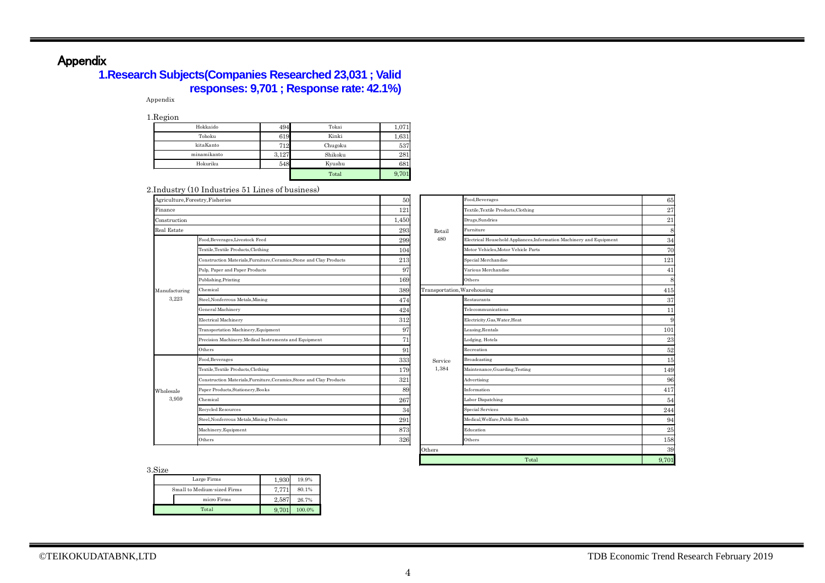# Appendix

## **1.Research Subjects(Companies Researched 23,031 ; Valid responses: 9,701 ; Response rate: 42.1%)**

Appendix

1.Region

| -           |       |         |       |
|-------------|-------|---------|-------|
| Hokkaido    | 494   | Tokai   | 1,071 |
| Tohoku      | 619   | Kinki   | 1,631 |
| kitaKanto   | 712   | Chugoku | 537   |
| minamikanto | 3,127 | Shikoku | 281   |
| Hokuriku    | 548   | Kyushu  | 681   |
|             |       | Total   | 9,701 |

#### 2.Industry (10 Industries 51 Lines of business)

| Agriculture, Forestry, Fisheries |                                                                        | 50    |                             | Food, Beverages                                                      | 65    |
|----------------------------------|------------------------------------------------------------------------|-------|-----------------------------|----------------------------------------------------------------------|-------|
| Finance                          |                                                                        | 121   |                             | Textile, Textile Products, Clothing                                  | 27    |
| Construction                     |                                                                        | 1,450 |                             | Drugs, Sundries                                                      | 21    |
| <b>Real Estate</b>               |                                                                        | 293   | Retail                      | Furniture                                                            | 8     |
|                                  | Food, Beverages, Livestock Feed<br>Textile, Textile Products, Clothing |       | 480                         | Electrical Household Appliances, Information Machinery and Equipment | 34    |
|                                  |                                                                        |       |                             | Motor Vehicles, Motor Vehicle Parts                                  | 70    |
|                                  | Construction Materials, Furniture, Ceramics, Stone and Clay Products   | 213   |                             | Special Merchandise                                                  | 121   |
|                                  | Pulp, Paper and Paper Products                                         | 97    |                             | Various Merchandise                                                  | 41    |
|                                  | Publishing, Printing<br>169                                            |       |                             | Others                                                               | 8     |
| Manufacturing                    | Chemical                                                               | 389   | Transportation, Warehousing |                                                                      | 415   |
| 3,223                            | Steel, Nonferrous Metals, Mining                                       | 474   |                             | Restaurants                                                          | 37    |
|                                  | <b>General Machinery</b>                                               | 424   |                             | Telecommunications                                                   | 11    |
|                                  | Electrical Machinery                                                   | 312   |                             | Electricity, Gas, Water, Heat                                        | g     |
|                                  | Transportation Machinery, Equipment                                    | 97    |                             | Leasing, Rentals                                                     | 101   |
|                                  | Precision Machinery, Medical Instruments and Equipment                 | 71    |                             | Lodging, Hotels                                                      | 23    |
|                                  | Others                                                                 | 91    |                             | Recreation                                                           | 52    |
|                                  | Food, Beverages                                                        | 333   | Service                     | Broadcasting                                                         | 15    |
|                                  | Textile, Textile Products, Clothing                                    | 179   | 1,384                       | Maintenance, Guarding, Testing                                       | 149   |
|                                  | Construction Materials, Furniture, Ceramics, Stone and Clay Products   | 321   |                             | Advertising                                                          | 96    |
| Wholesale                        | Paper Products, Stationery, Books                                      | 89    |                             | Information                                                          | 417   |
| 3,959                            | Chemical                                                               | 267   |                             | Labor Dispatching                                                    | 54    |
|                                  | Recycled Resources                                                     | 34    |                             | <b>Special Services</b>                                              | 244   |
|                                  | Steel, Nonferrous Metals, Mining Products                              | 291   |                             | Medical.Welfare.Public Health                                        | 94    |
|                                  | Machinery, Equipment                                                   | 873   |                             | Education                                                            | 25    |
|                                  | Others                                                                 | 326   |                             | Others                                                               | 158   |
|                                  |                                                                        |       | Others                      |                                                                      | 39    |
|                                  |                                                                        |       |                             | Total                                                                | 9.701 |

3.Size

| <b></b>                     |       |        |
|-----------------------------|-------|--------|
| Large Firms                 | 1,930 | 19.9%  |
| Small to Medium-sized Firms | 7.771 | 80.1%  |
| micro Firms                 | 2.587 | 26.7%  |
| Total                       |       | 100.0% |